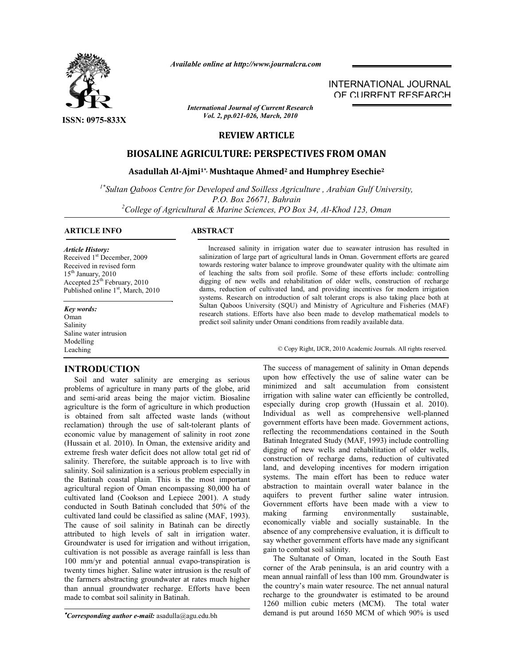

**ISSN: 0975-833X**

*Available online at http://www.journalcra.com*

INTERNATIONAL JOURNAL OF CURRENT RESEARCH

**REVIEW ARTICLE** *Vol. 2, pp.021-026, March, 2010*

*International Journal of Current Research*

# **BIOSALINE AGRICULTURE: PERSPECTIVES FROM OMAN**

# **Asadullah Al-Ajmi1\*, Mushtaque Ahmed2 and Humphrey Esechie2**

*1\*Sultan Qaboos Centre for Developed and Soilless Agriculture , Arabian Gulf University, P.O. Box 26671, Bahrain <sup>2</sup> College of Agricultural & Marine Sciences, PO Box 34, Al-Khod 123, Oman*

# **ARTICLE INFO ABSTRACT**

#### *Article History:*

Received 1<sup>st</sup> December, 2009 Received in revised form  $15<sup>th</sup>$  January, 2010 Accepted  $25<sup>th</sup>$  February, 2010 Published online 1<sup>st</sup>, March, 2010

*Key words:* Oman Salinity Saline water intrusion Modelling Leaching

# **INTRODUCTION**

 Soil and water salinity are emerging as serious problems of agriculture in many parts of the globe, arid and semi-arid areas being the major victim. Biosaline agriculture is the form of agriculture in which production is obtained from salt affected waste lands (without reclamation) through the use of salt-tolerant plants of economic value by management of salinity in root zone (Hussain et al. 2010). In Oman, the extensive aridity and extreme fresh water deficit does not allow total get rid of salinity. Therefore, the suitable approach is to live with salinity. Soil salinization is a serious problem especially in the Batinah coastal plain. This is the most important agricultural region of Oman encompassing 80,000 ha of cultivated land (Cookson and Lepiece 2001). A study conducted in South Batinah concluded that 50% of the cultivated land could be classified as saline (MAF, 1993). The cause of soil salinity in Batinah can be directly attributed to high levels of salt in irrigation water. Groundwater is used for irrigation and without irrigation, cultivation is not possible as average rainfall is less than 100 mm/yr and potential annual evapo-transpiration is twenty times higher. Saline water intrusion is the result of the farmers abstracting groundwater at rates much higher than annual groundwater recharge. Efforts have been made to combat soil salinity in Batinah.

*Corresponding author e-mail:* asadulla@agu.edu.bh

 Increased salinity in irrigation water due to seawater intrusion has resulted in salinization of large part of agricultural lands in Oman. Government efforts are geared towards restoring water balance to improve groundwater quality with the ultimate aim of leaching the salts from soil profile. Some of these efforts include: controlling digging of new wells and rehabilitation of older wells, construction of recharge dams, reduction of cultivated land, and providing incentives for modern irrigation systems. Research on introduction of salt tolerant crops is also taking place both at Sultan Qaboos University (SQU) and Ministry of Agriculture and Fisheries (MAF) research stations. Efforts have also been made to develop mathematical models to predict soil salinity under Omani conditions from readily available data.

© Copy Right, IJCR, 2010 Academic Journals. All rights reserved.

The success of management of salinity in Oman depends upon how effectively the use of saline water can be minimized and salt accumulation from consistent irrigation with saline water can efficiently be controlled, especially during crop growth (Hussain et al. 2010). Individual as well as comprehensive well-planned government efforts have been made. Government actions, reflecting the recommendations contained in the South Batinah Integrated Study (MAF, 1993) include controlling digging of new wells and rehabilitation of older wells, construction of recharge dams, reduction of cultivated land, and developing incentives for modern irrigation systems. The main effort has been to reduce water abstraction to maintain overall water balance in the aquifers to prevent further saline water intrusion. Government efforts have been made with a view to making farming environmentally sustainable, economically viable and socially sustainable. In the absence of any comprehensive evaluation, it is difficult to say whether government efforts have made any significant gain to combat soil salinity.

 The Sultanate of Oman, located in the South East corner of the Arab peninsula, is an arid country with a mean annual rainfall of less than 100 mm. Groundwater is the country's main water resource. The net annual natural recharge to the groundwater is estimated to be around 1260 million cubic meters (MCM). The total water demand is put around 1650 MCM of which 90% is used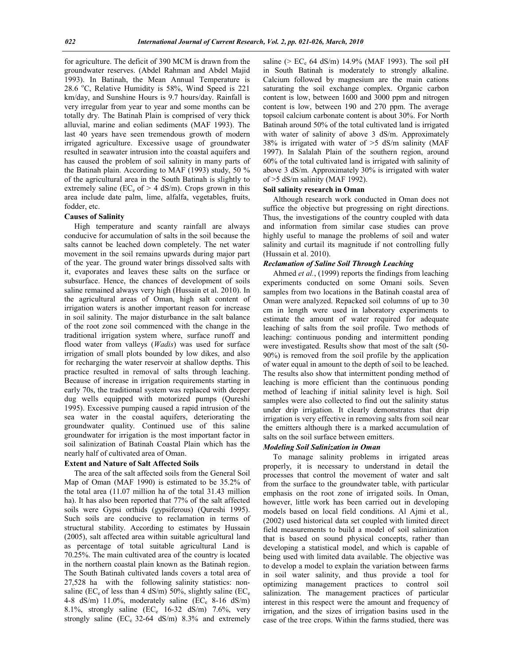for agriculture. The deficit of 390 MCM is drawn from the groundwater reserves. (Abdel Rahman and Abdel Majid 1993). In Batinah, the Mean Annual Temperature is  $28.6$  °C, Relative Humidity is 58%, Wind Speed is 221 km/day, and Sunshine Hours is 9.7 hours/day. Rainfall is very irregular from year to year and some months can be totally dry. The Batinah Plain is comprised of very thick alluvial, marine and eolian sediments (MAF 1993). The last 40 years have seen tremendous growth of modern irrigated agriculture. Excessive usage of groundwater resulted in seawater intrusion into the coastal aquifers and has caused the problem of soil salinity in many parts of the Batinah plain. According to MAF (1993) study, 50 % of the agricultural area in the South Batinah is slightly to extremely saline (EC<sub>e</sub> of  $> 4$  dS/m). Crops grown in this area include date palm, lime, alfalfa, vegetables, fruits, fodder, etc.

#### **Causes of Salinity**

 High temperature and scanty rainfall are always conducive for accumulation of salts in the soil because the salts cannot be leached down completely. The net water movement in the soil remains upwards during major part of the year. The ground water brings dissolved salts with it, evaporates and leaves these salts on the surface or subsurface. Hence, the chances of development of soils saline remained always very high (Hussain et al. 2010). In the agricultural areas of Oman, high salt content of irrigation waters is another important reason for increase in soil salinity. The major disturbance in the salt balance of the root zone soil commenced with the change in the traditional irrigation system where, surface runoff and flood water from valleys (*Wadis*) was used for surface irrigation of small plots bounded by low dikes, and also for recharging the water reservoir at shallow depths. This practice resulted in removal of salts through leaching. Because of increase in irrigation requirements starting in early 70s, the traditional system was replaced with deeper dug wells equipped with motorized pumps (Qureshi 1995). Excessive pumping caused a rapid intrusion of the sea water in the coastal aquifers, deteriorating the groundwater quality. Continued use of this saline groundwater for irrigation is the most important factor in soil salinization of Batinah Coastal Plain which has the nearly half of cultivated area of Oman.

#### **Extent and Nature of Salt Affected Soils**

 The area of the salt affected soils from the General Soil Map of Oman (MAF 1990) is estimated to be 35.2% of the total area (11.07 million ha of the total 31.43 million ha). It has also been reported that 77% of the salt affected soils were Gypsi orthids (gypsiferous) (Qureshi 1995). Such soils are conducive to reclamation in terms of structural stability. According to estimates by Hussain (2005), salt affected area within suitable agricultural land as percentage of total suitable agricultural Land is 70.25%. The main cultivated area of the country is located in the northern coastal plain known as the Batinah region. The South Batinah cultivated lands covers a total area of 27,528 ha with the following salinity statistics: nonsaline (EC<sub>e</sub> of less than 4 dS/m) 50%, slightly saline (EC<sub>e</sub> 4-8 dS/m) 11.0%, moderately saline (EC<sub>e</sub> 8-16 dS/m) 8.1%, strongly saline (EC<sub>e</sub> 16-32 dS/m) 7.6%, very strongly saline  $(EC_e 32-64$  dS/m) 8.3% and extremely

saline ( $> EC_e$  64 dS/m) 14.9% (MAF 1993). The soil pH in South Batinah is moderately to strongly alkaline. Calcium followed by magnesium are the main cations saturating the soil exchange complex. Organic carbon content is low, between 1600 and 3000 ppm and nitrogen content is low, between 190 and 270 ppm. The average topsoil calcium carbonate content is about 30%. For North Batinah around 50% of the total cultivated land is irrigated with water of salinity of above 3 dS/m. Approximately 38% is irrigated with water of >5 dS/m salinity (MAF 1997). In Salalah Plain of the southern region, around 60% of the total cultivated land is irrigated with salinity of above 3 dS/m. Approximately 30% is irrigated with water of >5 dS/m salinity (MAF 1992).

# **Soil salinity research in Oman**

 Although research work conducted in Oman does not suffice the objective but progressing on right directions. Thus, the investigations of the country coupled with data and information from similar case studies can prove highly useful to manage the problems of soil and water salinity and curtail its magnitude if not controlling fully (Hussain et al. 2010).

# *Reclamation of Saline Soil Through Leaching*

 Ahmed *et al.*, (1999) reports the findings from leaching experiments conducted on some Omani soils. Seven samples from two locations in the Batinah coastal area of Oman were analyzed. Repacked soil columns of up to 30 cm in length were used in laboratory experiments to estimate the amount of water required for adequate leaching of salts from the soil profile. Two methods of leaching: continuous ponding and intermittent ponding were investigated. Results show that most of the salt (50- 90%) is removed from the soil profile by the application of water equal in amount to the depth of soil to be leached. The results also show that intermittent ponding method of leaching is more efficient than the continuous ponding method of leaching if initial salinity level is high. Soil samples were also collected to find out the salinity status under drip irrigation. It clearly demonstrates that drip irrigation is very effective in removing salts from soil near the emitters although there is a marked accumulation of salts on the soil surface between emitters.

## *Modeling Soil Salinization in Oman*

 To manage salinity problems in irrigated areas properly, it is necessary to understand in detail the processes that control the movement of water and salt from the surface to the groundwater table, with particular emphasis on the root zone of irrigated soils. In Oman, however, little work has been carried out in developing models based on local field conditions. Al Ajmi et al*.,* (2002) used historical data set coupled with limited direct field measurements to build a model of soil salinization that is based on sound physical concepts, rather than developing a statistical model, and which is capable of being used with limited data available. The objective was to develop a model to explain the variation between farms in soil water salinity, and thus provide a tool for optimizing management practices to control soil salinization. The management practices of particular interest in this respect were the amount and frequency of irrigation, and the sizes of irrigation basins used in the case of the tree crops. Within the farms studied, there was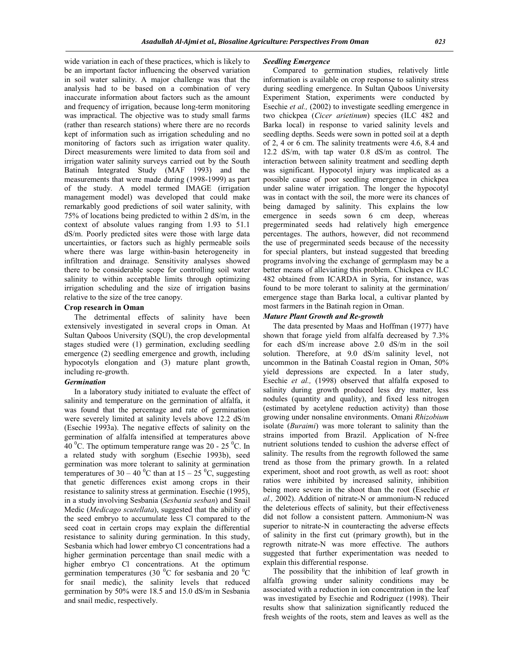wide variation in each of these practices, which is likely to be an important factor influencing the observed variation in soil water salinity. A major challenge was that the analysis had to be based on a combination of very inaccurate information about factors such as the amount and frequency of irrigation, because long-term monitoring was impractical. The objective was to study small farms (rather than research stations) where there are no records kept of information such as irrigation scheduling and no monitoring of factors such as irrigation water quality. Direct measurements were limited to data from soil and irrigation water salinity surveys carried out by the South Batinah Integrated Study (MAF 1993) and the measurements that were made during (1998-1999) as part of the study. A model termed IMAGE (irrigation management model) was developed that could make remarkably good predictions of soil water salinity, with 75% of locations being predicted to within 2 dS/m, in the context of absolute values ranging from 1.93 to 51.1 dS/m. Poorly predicted sites were those with large data uncertainties, or factors such as highly permeable soils where there was large within-basin heterogeneity in infiltration and drainage. Sensitivity analyses showed there to be considerable scope for controlling soil water salinity to within acceptable limits through optimizing irrigation scheduling and the size of irrigation basins relative to the size of the tree canopy.

### **Crop research in Oman**

 The detrimental effects of salinity have been extensively investigated in several crops in Oman. At Sultan Qaboos University (SQU), the crop developmental stages studied were (1) germination, excluding seedling emergence (2) seedling emergence and growth, including hypocotyls elongation and (3) mature plant growth, including re-growth.

# *Germination*

 In a laboratory study initiated to evaluate the effect of salinity and temperature on the germination of alfalfa, it was found that the percentage and rate of germination were severely limited at salinity levels above 12.2 dS/m (Esechie 1993a). The negative effects of salinity on the germination of alfalfa intensified at temperatures above 40 <sup>o</sup>C. The optimum temperature range was  $20 - 25$  <sup>o</sup>C. In a related study with sorghum (Esechie 1993b), seed germination was more tolerant to salinity at germination temperatures of 30 – 40 °C than at 15 – 25 °C, suggesting that genetic differences exist among crops in their resistance to salinity stress at germination. Esechie (1995), in a study involving Sesbania (*Sesbania sesban*) and Snail Medic (*Medicago scutellata*), suggested that the ability of the seed embryo to accumulate less Cl compared to the seed coat in certain crops may explain the differential resistance to salinity during germination. In this study, Sesbania which had lower embryo Cl concentrations had a higher germination percentage than snail medic with a higher embryo Cl concentrations. At the optimum germination temperatures (30 $\mathrm{^0C}$  for sesbania and 20 $\mathrm{^0C}$ for snail medic), the salinity levels that reduced germination by 50% were 18.5 and 15.0 dS/m in Sesbania and snail medic, respectively.

#### *Seedling Emergence*

 Compared to germination studies, relatively little information is available on crop response to salinity stress during seedling emergence. In Sultan Qaboos University Experiment Station, experiments were conducted by Esechie *et al.,* (2002) to investigate seedling emergence in two chickpea (*Cicer arietinum*) species (ILC 482 and Barka local) in response to varied salinity levels and seedling depths. Seeds were sown in potted soil at a depth of 2, 4 or  $\overline{6}$  cm. The salinity treatments were 4.6, 8.4 and 12.2 dS/m, with tap water 0.8 dS/m as control. The interaction between salinity treatment and seedling depth was significant. Hypocotyl injury was implicated as a possible cause of poor seedling emergence in chickpea under saline water irrigation. The longer the hypocotyl was in contact with the soil, the more were its chances of being damaged by salinity. This explains the low emergence in seeds sown 6 cm deep, whereas pregerminated seeds had relatively high emergence percentages. The authors, however, did not recommend the use of pregerminated seeds because of the necessity for special planters, but instead suggested that breeding programs involving the exchange of germplasm may be a better means of alleviating this problem. Chickpea cv ILC 482 obtained from ICARDA in Syria, for instance, was found to be more tolerant to salinity at the germination/ emergence stage than Barka local, a cultivar planted by most farmers in the Batinah region in Oman.

#### *Mature Plant Growth and Re-growth*

 The data presented by Maas and Hoffman (1977) have shown that forage yield from alfalfa decreased by 7.3% for each dS/m increase above 2.0 dS/m in the soil solution. Therefore, at 9.0 dS/m salinity level, not uncommon in the Batinah Coastal region in Oman, 50% yield depressions are expected. In a later study, Esechie *et al.,* (1998) observed that alfalfa exposed to salinity during growth produced less dry matter, less nodules (quantity and quality), and fixed less nitrogen (estimated by acetylene reduction activity) than those growing under nonsaline environments. Omani *Rhizobium*  isolate (*Buraimi*) was more tolerant to salinity than the strains imported from Brazil. Application of N-free nutrient solutions tended to cushion the adverse effect of salinity. The results from the regrowth followed the same trend as those from the primary growth. In a related experiment, shoot and root growth, as well as root: shoot ratios were inhibited by increased salinity, inhibition being more severe in the shoot than the root (Esechie *et al.,* 2002). Addition of nitrate-N or ammonium-N reduced the deleterious effects of salinity, but their effectiveness did not follow a consistent pattern. Ammonium-N was superior to nitrate-N in counteracting the adverse effects of salinity in the first cut (primary growth), but in the regrowth nitrate-N was more effective. The authors suggested that further experimentation was needed to explain this differential response.

 The possibility that the inhibition of leaf growth in alfalfa growing under salinity conditions may be associated with a reduction in ion concentration in the leaf was investigated by Esechie and Rodriguez (1998). Their results show that salinization significantly reduced the fresh weights of the roots, stem and leaves as well as the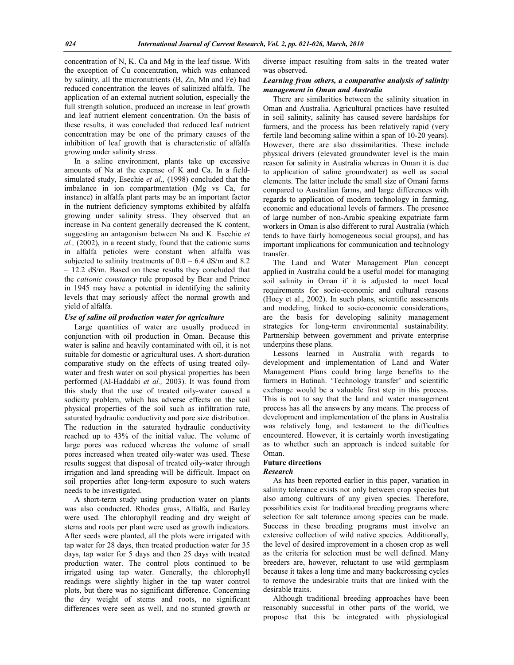concentration of N, K. Ca and Mg in the leaf tissue. With the exception of Cu concentration, which was enhanced by salinity, all the micronutrients (B, Zn, Mn and Fe) had reduced concentration the leaves of salinized alfalfa. The application of an external nutrient solution, especially the full strength solution, produced an increase in leaf growth and leaf nutrient element concentration. On the basis of these results, it was concluded that reduced leaf nutrient concentration may be one of the primary causes of the inhibition of leaf growth that is characteristic of alfalfa growing under salinity stress.

 In a saline environment, plants take up excessive amounts of Na at the expense of K and Ca. In a fieldsimulated study, Esechie *et al.,* (1998) concluded that the imbalance in ion compartmentation (Mg vs Ca, for instance) in alfalfa plant parts may be an important factor in the nutrient deficiency symptoms exhibited by alfalfa growing under salinity stress. They observed that an increase in Na content generally decreased the K content, suggesting an antagonism between Na and K. Esechie *et al.,* (2002), in a recent study, found that the cationic sums in alfalfa petioles were constant when alfalfa was subjected to salinity treatments of  $0.0 - 6.4$  dS/m and 8.2 – 12.2 dS/m. Based on these results they concluded that the *cationic constancy* rule proposed by Bear and Prince in 1945 may have a potential in identifying the salinity levels that may seriously affect the normal growth and yield of alfalfa.

## *Use of saline oil production water for agriculture*

 Large quantities of water are usually produced in conjunction with oil production in Oman. Because this water is saline and heavily contaminated with oil, it is not suitable for domestic or agricultural uses. A short-duration comparative study on the effects of using treated oilywater and fresh water on soil physical properties has been performed (Al-Haddabi *et al.,* 2003). It was found from this study that the use of treated oily-water caused a sodicity problem, which has adverse effects on the soil physical properties of the soil such as infiltration rate, saturated hydraulic conductivity and pore size distribution. The reduction in the saturated hydraulic conductivity reached up to 43% of the initial value. The volume of large pores was reduced whereas the volume of small pores increased when treated oily-water was used. These results suggest that disposal of treated oily-water through irrigation and land spreading will be difficult. Impact on soil properties after long-term exposure to such waters needs to be investigated.

 A short-term study using production water on plants was also conducted. Rhodes grass, Alfalfa, and Barley were used. The chlorophyll reading and dry weight of stems and roots per plant were used as growth indicators. After seeds were planted, all the plots were irrigated with tap water for 28 days, then treated production water for 35 days, tap water for 5 days and then 25 days with treated production water. The control plots continued to be irrigated using tap water. Generally, the chlorophyll readings were slightly higher in the tap water control plots, but there was no significant difference. Concerning the dry weight of stems and roots, no significant differences were seen as well, and no stunted growth or

diverse impact resulting from salts in the treated water was observed.

# *Learning from others, a comparative analysis of salinity management in Oman and Australia*

 There are similarities between the salinity situation in Oman and Australia. Agricultural practices have resulted in soil salinity, salinity has caused severe hardships for farmers, and the process has been relatively rapid (very fertile land becoming saline within a span of 10-20 years). However, there are also dissimilarities. These include physical drivers (elevated groundwater level is the main reason for salinity in Australia whereas in Oman it is due to application of saline groundwater) as well as social elements. The latter include the small size of Omani farms compared to Australian farms, and large differences with regards to application of modern technology in farming, economic and educational levels of farmers. The presence of large number of non-Arabic speaking expatriate farm workers in Oman is also different to rural Australia (which tends to have fairly homogeneous social groups), and has important implications for communication and technology transfer.

 The Land and Water Management Plan concept applied in Australia could be a useful model for managing soil salinity in Oman if it is adjusted to meet local requirements for socio-economic and cultural reasons (Hoey et al., 2002). In such plans, scientific assessments and modeling, linked to socio-economic considerations, are the basis for developing salinity management strategies for long-term environmental sustainability. Partnership between government and private enterprise underpins these plans.

 Lessons learned in Australia with regards to development and implementation of Land and Water Management Plans could bring large benefits to the farmers in Batinah. 'Technology transfer' and scientific exchange would be a valuable first step in this process. This is not to say that the land and water management process has all the answers by any means. The process of development and implementation of the plans in Australia was relatively long, and testament to the difficulties encountered. However, it is certainly worth investigating as to whether such an approach is indeed suitable for Oman.

# **Future directions**

#### *Research*

 As has been reported earlier in this paper, variation in salinity tolerance exists not only between crop species but also among cultivars of any given species. Therefore, possibilities exist for traditional breeding programs where selection for salt tolerance among species can be made. Success in these breeding programs must involve an extensive collection of wild native species. Additionally, the level of desired improvement in a chosen crop as well as the criteria for selection must be well defined. Many breeders are, however, reluctant to use wild germplasm because it takes a long time and many backcrossing cycles to remove the undesirable traits that are linked with the desirable traits.

 Although traditional breeding approaches have been reasonably successful in other parts of the world, we propose that this be integrated with physiological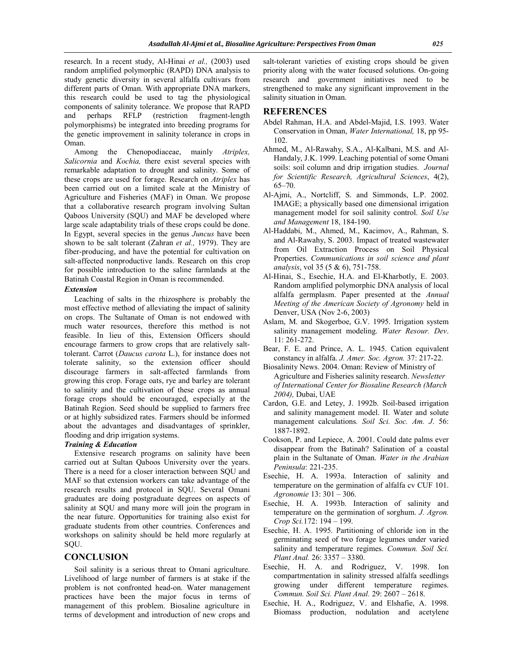research. In a recent study, Al-Hinai *et al.,* (2003) used random amplified polymorphic (RAPD) DNA analysis to study genetic diversity in several alfalfa cultivars from different parts of Oman. With appropriate DNA markers, this research could be used to tag the physiological components of salinity tolerance. We propose that RAPD<br>and perhaps RFLP (restriction fragment-length and perhaps RFLP (restriction fragment-length polymorphisms) be integrated into breeding programs for the genetic improvement in salinity tolerance in crops in Oman.

 Among the Chenopodiaceae, mainly *Atriplex, Salicornia* and *Kochia,* there exist several species with remarkable adaptation to drought and salinity. Some of these crops are used for forage. Research on *Atriplex* has been carried out on a limited scale at the Ministry of Agriculture and Fisheries (MAF) in Oman. We propose that a collaborative research program involving Sultan Qaboos University (SQU) and MAF be developed where large scale adaptability trials of these crops could be done. In Egypt, several species in the genus *Juncus* have been shown to be salt tolerant (Zahran *et al.,* 1979). They are fiber-producing, and have the potential for cultivation on salt-affected nonproductive lands. Research on this crop for possible introduction to the saline farmlands at the Batinah Coastal Region in Oman is recommended.

#### *Extension*

 Leaching of salts in the rhizosphere is probably the most effective method of alleviating the impact of salinity on crops. The Sultanate of Oman is not endowed with much water resources, therefore this method is not feasible. In lieu of this, Extension Officers should encourage farmers to grow crops that are relatively salttolerant. Carrot (*Daucus carota* L.), for instance does not tolerate salinity, so the extension officer should discourage farmers in salt-affected farmlands from growing this crop. Forage oats, rye and barley are tolerant to salinity and the cultivation of these crops as annual forage crops should be encouraged, especially at the Batinah Region. Seed should be supplied to farmers free or at highly subsidized rates. Farmers should be informed about the advantages and disadvantages of sprinkler, flooding and drip irrigation systems.

## *Training & Education*

 Extensive research programs on salinity have been carried out at Sultan Qaboos University over the years. There is a need for a closer interaction between SQU and MAF so that extension workers can take advantage of the research results and protocol in SQU. Several Omani graduates are doing postgraduate degrees on aspects of salinity at SQU and many more will join the program in the near future. Opportunities for training also exist for graduate students from other countries. Conferences and workshops on salinity should be held more regularly at SQU.

# **CONCLUSION**

 Soil salinity is a serious threat to Omani agriculture. Livelihood of large number of farmers is at stake if the problem is not confronted head-on. Water management practices have been the major focus in terms of management of this problem. Biosaline agriculture in terms of development and introduction of new crops and

salt-tolerant varieties of existing crops should be given priority along with the water focused solutions. On-going research and government initiatives need to be strengthened to make any significant improvement in the salinity situation in Oman.

# **REFERENCES**

- Abdel Rahman, H.A. and Abdel-Majid, I.S. 1993. Water Conservation in Oman, *Water International,* 18, pp 95- 102.
- Ahmed, M., Al-Rawahy, S.A., Al-Kalbani, M.S. and Al-Handaly, J.K. 1999. Leaching potential of some Omani soils: soil column and drip irrigation studies. *Journal for Scientific Research, Agricultural Sciences*, 4(2), 65–70.
- Al-Ajmi, A., Nortcliff, S. and Simmonds, L.P. 2002. IMAGE; a physically based one dimensional irrigation management model for soil salinity control. *Soil Use and Management* 18, 184-190.
- Al-Haddabi, M., Ahmed, M., Kacimov, A., Rahman, S. and Al-Rawahy, S. 2003. Impact of treated wastewater from Oil Extraction Process on Soil Physical Properties. *Communications in soil science and plant analysis*, vol 35 (5 & 6), 751-758.
- Al-Hinai, S., Esechie, H.A. and El-Kharbotly, E. 2003. Random amplified polymorphic DNA analysis of local alfalfa germplasm. Paper presented at the *Annual Meeting of the American Society of Agronomy* held in Denver, USA (Nov 2-6, 2003)
- Aslam, M. and Skogerboe, G.V. 1995. Irrigation system salinity management modeling. *Water Resour. Dev*. 11: 261-272.
- Bear, F. E. and Prince, A. L. 1945. Cation equivalent constancy in alfalfa. *J. Amer. Soc. Agron.* 37: 217-22.
- Biosalinity News. 2004. Oman: Review of Ministry of Agriculture and Fisheries salinity research. *Newsletter of International Center for Biosaline Research (March 2004),* Dubai, UAE
- Cardon, G.E. and Letey, J. 1992b. Soil-based irrigation and salinity management model. II. Water and solute management calculations*. Soil Sci. Soc. Am. J*. 56: 1887-1892.
- Cookson, P. and Lepiece, A. 2001. Could date palms ever disappear from the Batinah? Salination of a coastal plain in the Sultanate of Oman. *Water in the Arabian Peninsula*: 221-235.
- Esechie, H. A. 1993a. Interaction of salinity and temperature on the germination of alfalfa cv CUF 101. *Agronomie* 13: 301 – 306.
- Esechie, H. A. 1993b. Interaction of salinity and temperature on the germination of sorghum. *J. Agron. Crop Sci.*172: 194 – 199.
- Esechie, H. A. 1995. Partitioning of chloride ion in the germinating seed of two forage legumes under varied salinity and temperature regimes. *Commun. Soil Sci. Plant Anal.* 26: 3357 – 3380.
- Esechie, H. A. and Rodriguez, V. 1998. Ion compartmentation in salinity stressed alfalfa seedlings growing under different temperature regimes. *Commun. Soil Sci. Plant Anal.* 29: 2607 – 2618.
- Esechie, H. A., Rodriguez, V. and Elshafie, A. 1998. Biomass production, nodulation and acetylene